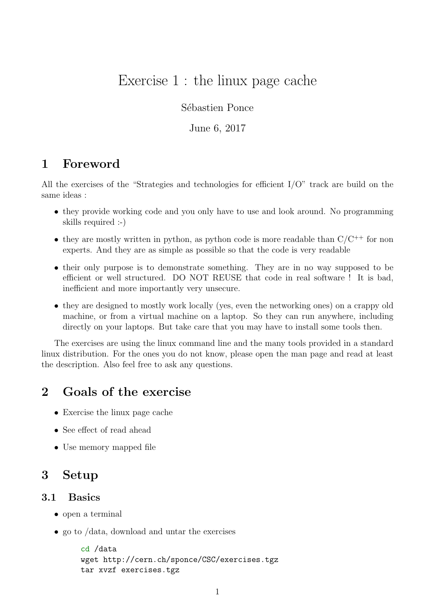# Exercise 1 : the linux page cache

Sébastien Ponce

June 6, 2017

# 1 Foreword

All the exercises of the "Strategies and technologies for efficient I/O" track are build on the same ideas :

- they provide working code and you only have to use and look around. No programming skills required :-)
- they are mostly written in python, as python code is more readable than  $C/C^{++}$  for non experts. And they are as simple as possible so that the code is very readable
- their only purpose is to demonstrate something. They are in no way supposed to be efficient or well structured. DO NOT REUSE that code in real software ! It is bad, inefficient and more importantly very unsecure.
- they are designed to mostly work locally (yes, even the networking ones) on a crappy old machine, or from a virtual machine on a laptop. So they can run anywhere, including directly on your laptops. But take care that you may have to install some tools then.

The exercises are using the linux command line and the many tools provided in a standard linux distribution. For the ones you do not know, please open the man page and read at least the description. Also feel free to ask any questions.

## 2 Goals of the exercise

- Exercise the linux page cache
- See effect of read ahead
- Use memory mapped file

## 3 Setup

#### 3.1 Basics

- open a terminal
- go to /data, download and untar the exercises

```
cd /data
wget http://cern.ch/sponce/CSC/exercises.tgz
tar xvzf exercises.tgz
```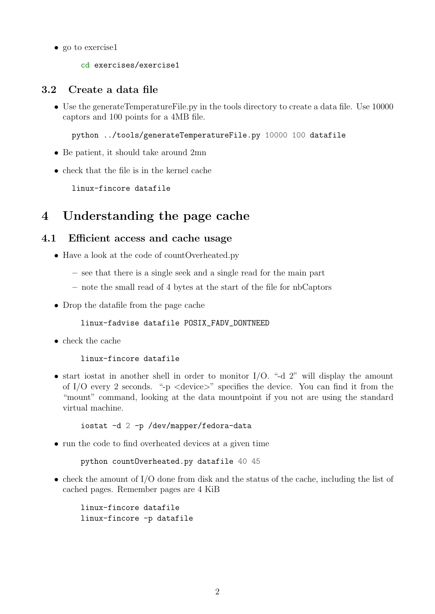• go to exercise1

cd exercises/exercise1

### 3.2 Create a data file

• Use the generateTemperatureFile.py in the tools directory to create a data file. Use 10000 captors and 100 points for a 4MB file.

python ../tools/generateTemperatureFile.py 10000 100 datafile

- Be patient, it should take around 2mn
- check that the file is in the kernel cache

linux-fincore datafile

# 4 Understanding the page cache

### 4.1 Efficient access and cache usage

- Have a look at the code of countOverheated.py
	- see that there is a single seek and a single read for the main part
	- note the small read of 4 bytes at the start of the file for nbCaptors
- Drop the datafile from the page cache

linux-fadvise datafile POSIX\_FADV\_DONTNEED

• check the cache

#### linux-fincore datafile

 $\bullet$  start iostat in another shell in order to monitor I/O. "-d 2" will display the amount of I/O every 2 seconds. "-p  $\langle$  device $\rangle$ " specifies the device. You can find it from the "mount" command, looking at the data mountpoint if you not are using the standard virtual machine.

```
iostat -d 2 -p /dev/mapper/fedora-data
```
• run the code to find overheated devices at a given time

python countOverheated.py datafile 40 45

 $\bullet$  check the amount of I/O done from disk and the status of the cache, including the list of cached pages. Remember pages are 4 KiB

linux-fincore datafile linux-fincore -p datafile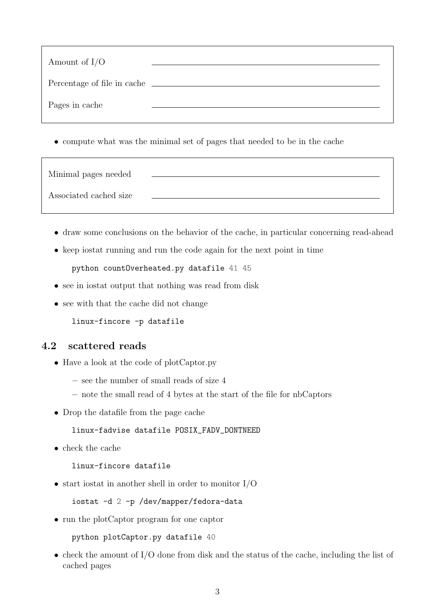| Amount of $I/O$             |  |
|-----------------------------|--|
| Percentage of file in cache |  |
| Pages in cache              |  |

• compute what was the minimal set of pages that needed to be in the cache

| Minimal pages needed   |  |
|------------------------|--|
| Associated cached size |  |

- draw some conclusions on the behavior of the cache, in particular concerning read-ahead
- keep iostat running and run the code again for the next point in time

python countOverheated.py datafile 41 45

- see in iostat output that nothing was read from disk
- see with that the cache did not change

linux-fincore -p datafile

#### 4.2 scattered reads

- Have a look at the code of plotCaptor.py
	- see the number of small reads of size 4
	- note the small read of 4 bytes at the start of the file for nbCaptors
- Drop the datafile from the page cache

#### linux-fadvise datafile POSIX\_FADV\_DONTNEED

• check the cache

#### linux-fincore datafile

• start iostat in another shell in order to monitor I/O

iostat -d 2 -p /dev/mapper/fedora-data

• run the plotCaptor program for one captor

```
python plotCaptor.py datafile 40
```
• check the amount of I/O done from disk and the status of the cache, including the list of cached pages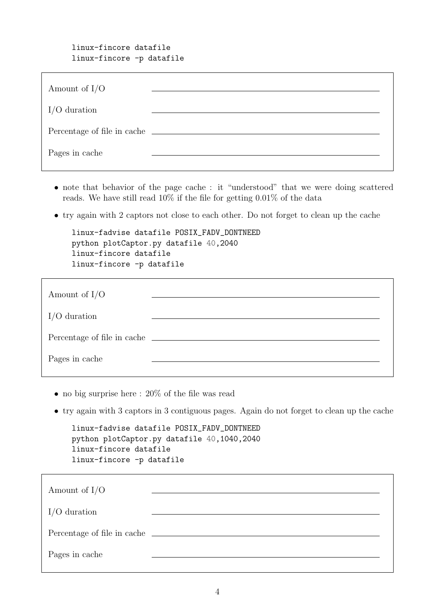#### linux-fincore datafile linux-fincore -p datafile

| Amount of $I/O$             |  |
|-----------------------------|--|
| $I/O$ duration              |  |
| Percentage of file in cache |  |
| Pages in cache              |  |

- note that behavior of the page cache : it "understood" that we were doing scattered reads. We have still read 10% if the file for getting 0.01% of the data
- try again with 2 captors not close to each other. Do not forget to clean up the cache

| linux-fadvise datafile POSIX_FADV_DONTNEED |
|--------------------------------------------|
| python plotCaptor.py datafile 40,2040      |
| linux-fincore datafile                     |
| linux-fincore -p datafile                  |

| Amount of $I/O$             |  |
|-----------------------------|--|
| $I/O$ duration              |  |
| Percentage of file in cache |  |
| Pages in cache              |  |

- no big surprise here :  $20\%$  of the file was read
- try again with 3 captors in 3 contiguous pages. Again do not forget to clean up the cache

```
linux-fadvise datafile POSIX_FADV_DONTNEED
python plotCaptor.py datafile 40,1040,2040
linux-fincore datafile
linux-fincore -p datafile
```

| Amount of $I/O$             |  |
|-----------------------------|--|
| $I/O$ duration              |  |
| Percentage of file in cache |  |
| Pages in cache              |  |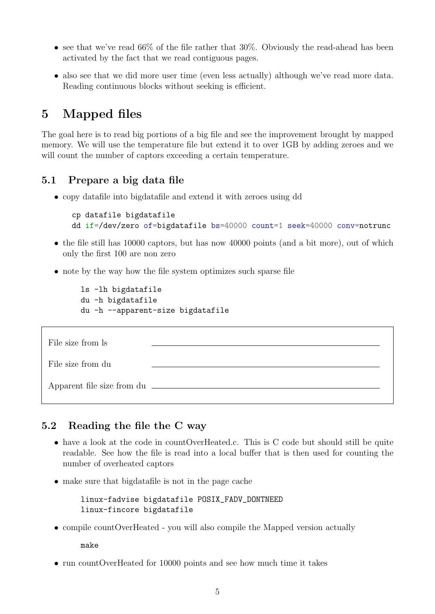- see that we've read  $66\%$  of the file rather that  $30\%$ . Obviously the read-ahead has been activated by the fact that we read contiguous pages.
- also see that we did more user time (even less actually) although we've read more data. Reading continuous blocks without seeking is efficient.

# 5 Mapped files

The goal here is to read big portions of a big file and see the improvement brought by mapped memory. We will use the temperature file but extend it to over 1GB by adding zeroes and we will count the number of captors exceeding a certain temperature.

### 5.1 Prepare a big data file

• copy datafile into bigdatafile and extend it with zeroes using dd

```
cp datafile bigdatafile
dd if=/dev/zero of=bigdatafile bs=40000 count=1 seek=40000 conv=notrunc
```
- the file still has 10000 captors, but has now 40000 points (and a bit more), out of which only the first 100 are non zero
- note by the way how the file system optimizes such sparse file

```
ls -lh bigdatafile
du -h bigdatafile
du -h --apparent-size bigdatafile
```

```
File size from ls
File size from du
Apparent file size from du
```
#### 5.2 Reading the file the C way

- have a look at the code in countOverHeated.c. This is C code but should still be quite readable. See how the file is read into a local buffer that is then used for counting the number of overheated captors
- make sure that bigdatafile is not in the page cache

```
linux-fadvise bigdatafile POSIX_FADV_DONTNEED
linux-fincore bigdatafile
```
• compile countOverHeated - you will also compile the Mapped version actually

make

• run countOverHeated for 10000 points and see how much time it takes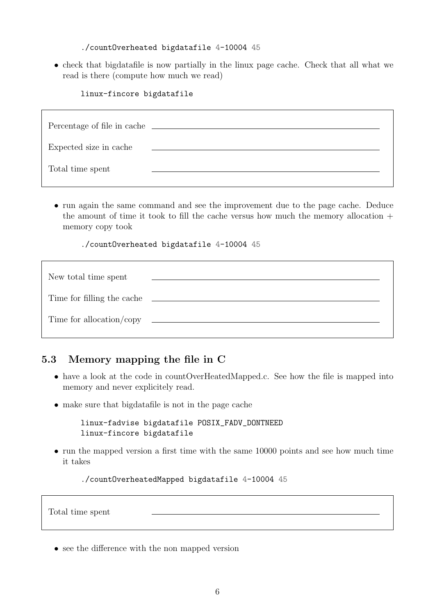./countOverheated bigdatafile 4-10004 45

• check that bigdatafile is now partially in the linux page cache. Check that all what we read is there (compute how much we read)

linux-fincore bigdatafile

| Percentage of file in cache |  |
|-----------------------------|--|
| Expected size in cache      |  |
| Total time spent            |  |

• run again the same command and see the improvement due to the page cache. Deduce the amount of time it took to fill the cache versus how much the memory allocation  $+$ memory copy took

./countOverheated bigdatafile 4-10004 45

| New total time spent       |  |
|----------------------------|--|
| Time for filling the cache |  |
| Time for allocation/copy   |  |

### 5.3 Memory mapping the file in C

- have a look at the code in countOverHeatedMapped.c. See how the file is mapped into memory and never explicitely read.
- make sure that bigdatafile is not in the page cache

linux-fadvise bigdatafile POSIX\_FADV\_DONTNEED linux-fincore bigdatafile

• run the mapped version a first time with the same 10000 points and see how much time it takes

./countOverheatedMapped bigdatafile 4-10004 45

Total time spent

• see the difference with the non mapped version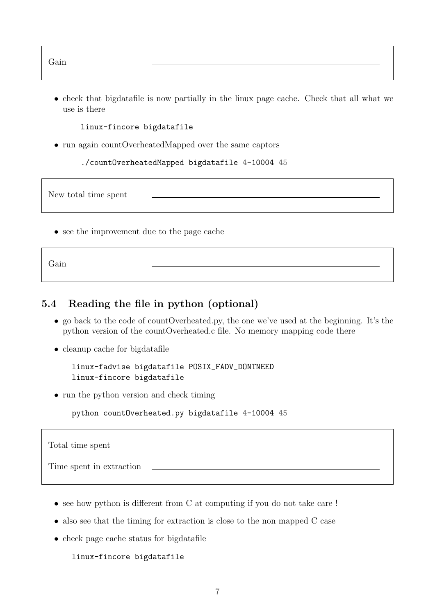• check that bigdatafile is now partially in the linux page cache. Check that all what we use is there

linux-fincore bigdatafile

• run again countOverheatedMapped over the same captors

./countOverheatedMapped bigdatafile 4-10004 45

New total time spent

• see the improvement due to the page cache

Gain

#### 5.4 Reading the file in python (optional)

- go back to the code of countOverheated.py, the one we've used at the beginning. It's the python version of the countOverheated.c file. No memory mapping code there
- cleanup cache for bigdatafile

linux-fadvise bigdatafile POSIX\_FADV\_DONTNEED linux-fincore bigdatafile

• run the python version and check timing

python countOverheated.py bigdatafile 4-10004 45

Total time spent

Time spent in extraction

- see how python is different from C at computing if you do not take care !
- also see that the timing for extraction is close to the non-mapped C case
- check page cache status for bigdatafile

linux-fincore bigdatafile